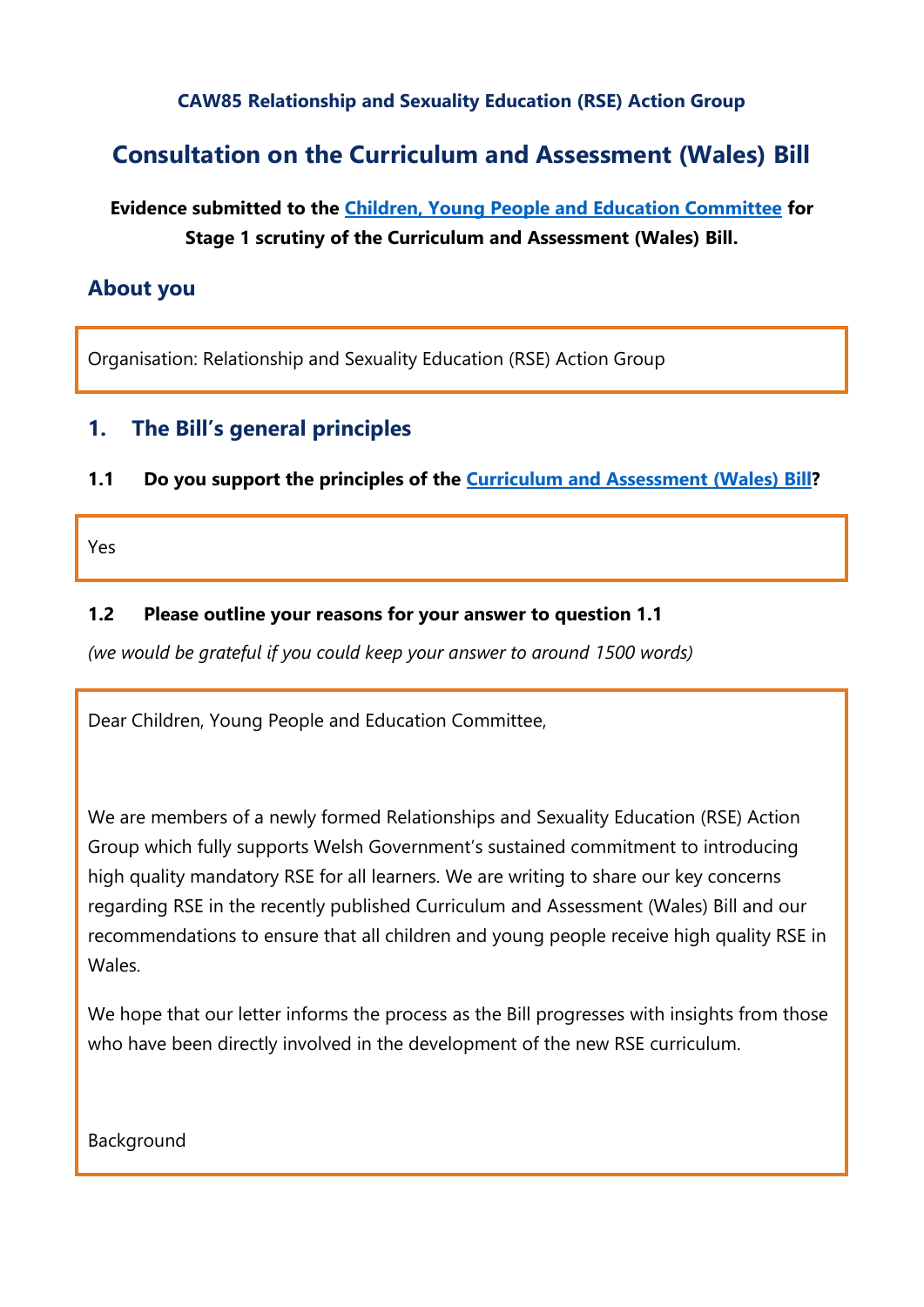### **CAW85 Relationship and Sexuality Education (RSE) Action Group**

# **Consultation on the Curriculum and Assessment (Wales) Bill**

# **Evidence submitted to the [Children, Young People and Education Committee](http://senedd.assembly.wales/mgCommitteeDetails.aspx?ID=443) for Stage 1 scrutiny of the Curriculum and Assessment (Wales) Bill.**

## **About you**

Organisation: Relationship and Sexuality Education (RSE) Action Group

# **1. The Bill's general principles**

#### **1.1 Do you support the principles of the [Curriculum and Assessment \(Wales\) Bill?](https://business.senedd.wales/mgIssueHistoryHome.aspx?IId=28836)**

Yes

#### **1.2 Please outline your reasons for your answer to question 1.1**

*(we would be grateful if you could keep your answer to around 1500 words)*

Dear Children, Young People and Education Committee,

We are members of a newly formed Relationships and Sexuality Education (RSE) Action Group which fully supports Welsh Government's sustained commitment to introducing high quality mandatory RSE for all learners. We are writing to share our key concerns regarding RSE in the recently published Curriculum and Assessment (Wales) Bill and our recommendations to ensure that all children and young people receive high quality RSE in Wales.

We hope that our letter informs the process as the Bill progresses with insights from those who have been directly involved in the development of the new RSE curriculum.

Background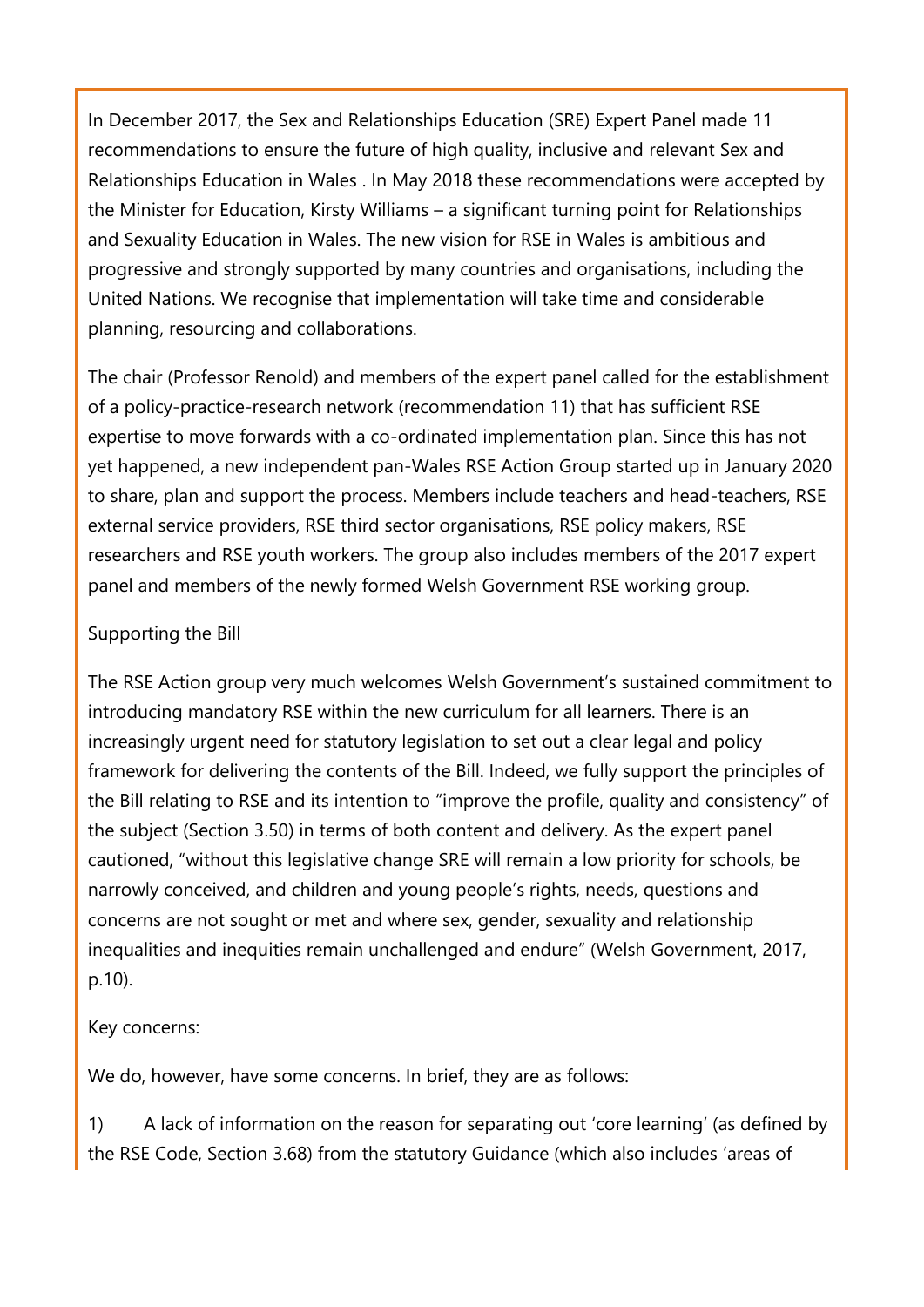In December 2017, the Sex and Relationships Education (SRE) Expert Panel made 11 recommendations to ensure the future of high quality, inclusive and relevant Sex and Relationships Education in Wales . In May 2018 these recommendations were accepted by the Minister for Education, Kirsty Williams – a significant turning point for Relationships and Sexuality Education in Wales. The new vision for RSE in Wales is ambitious and progressive and strongly supported by many countries and organisations, including the United Nations. We recognise that implementation will take time and considerable planning, resourcing and collaborations.

The chair (Professor Renold) and members of the expert panel called for the establishment of a policy-practice-research network (recommendation 11) that has sufficient RSE expertise to move forwards with a co-ordinated implementation plan. Since this has not yet happened, a new independent pan-Wales RSE Action Group started up in January 2020 to share, plan and support the process. Members include teachers and head-teachers, RSE external service providers, RSE third sector organisations, RSE policy makers, RSE researchers and RSE youth workers. The group also includes members of the 2017 expert panel and members of the newly formed Welsh Government RSE working group.

### Supporting the Bill

The RSE Action group very much welcomes Welsh Government's sustained commitment to introducing mandatory RSE within the new curriculum for all learners. There is an increasingly urgent need for statutory legislation to set out a clear legal and policy framework for delivering the contents of the Bill. Indeed, we fully support the principles of the Bill relating to RSE and its intention to "improve the profile, quality and consistency" of the subject (Section 3.50) in terms of both content and delivery. As the expert panel cautioned, "without this legislative change SRE will remain a low priority for schools, be narrowly conceived, and children and young people's rights, needs, questions and concerns are not sought or met and where sex, gender, sexuality and relationship inequalities and inequities remain unchallenged and endure" (Welsh Government, 2017, p.10).

### Key concerns:

We do, however, have some concerns. In brief, they are as follows:

1) A lack of information on the reason for separating out 'core learning' (as defined by the RSE Code, Section 3.68) from the statutory Guidance (which also includes 'areas of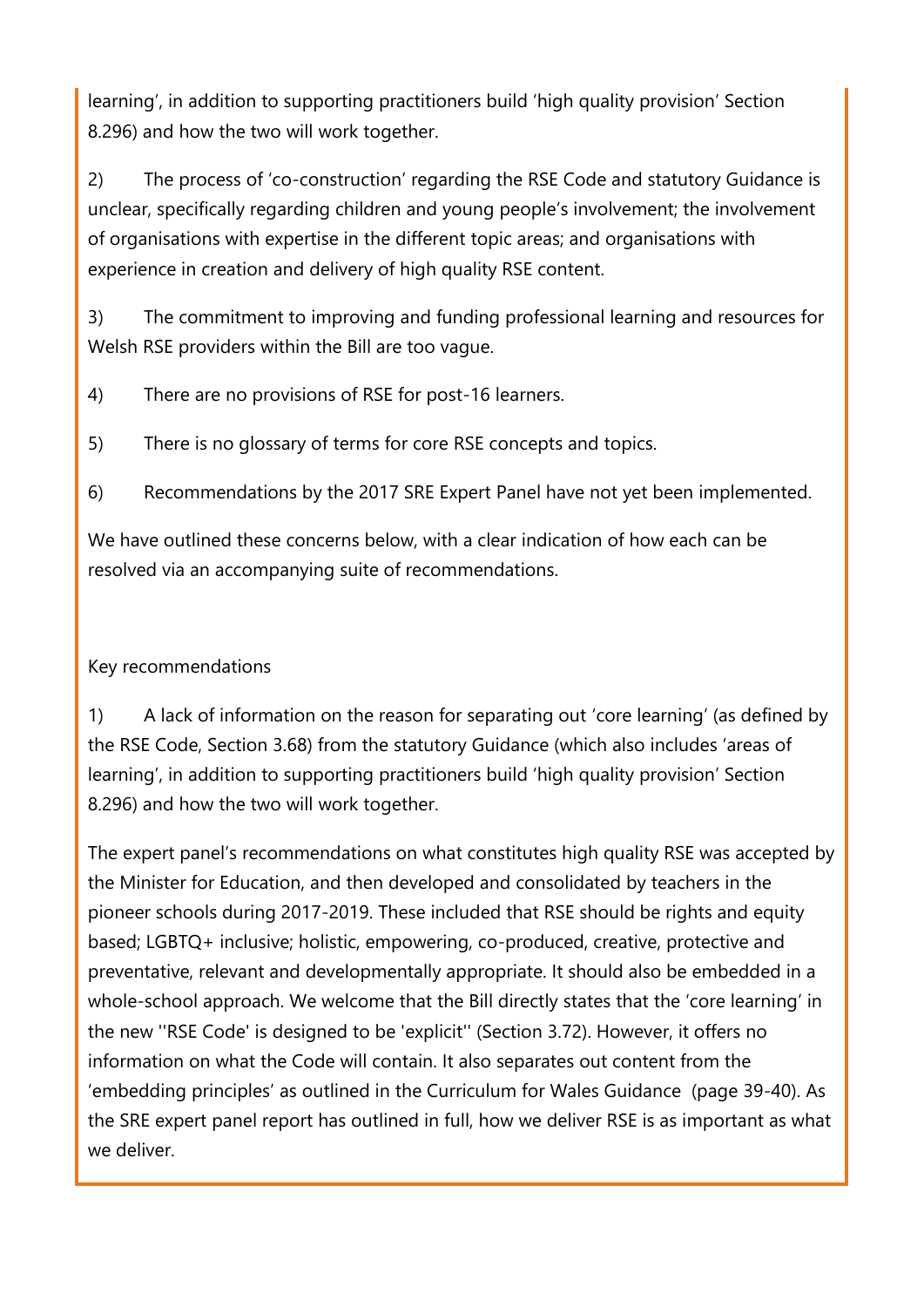learning', in addition to supporting practitioners build 'high quality provision' Section 8.296) and how the two will work together.

2) The process of 'co-construction' regarding the RSE Code and statutory Guidance is unclear, specifically regarding children and young people's involvement; the involvement of organisations with expertise in the different topic areas; and organisations with experience in creation and delivery of high quality RSE content.

3) The commitment to improving and funding professional learning and resources for Welsh RSE providers within the Bill are too vague.

- 4) There are no provisions of RSE for post-16 learners.
- 5) There is no glossary of terms for core RSE concepts and topics.
- 6) Recommendations by the 2017 SRE Expert Panel have not yet been implemented.

We have outlined these concerns below, with a clear indication of how each can be resolved via an accompanying suite of recommendations.

## Key recommendations

1) A lack of information on the reason for separating out 'core learning' (as defined by the RSE Code, Section 3.68) from the statutory Guidance (which also includes 'areas of learning', in addition to supporting practitioners build 'high quality provision' Section 8.296) and how the two will work together.

The expert panel's recommendations on what constitutes high quality RSE was accepted by the Minister for Education, and then developed and consolidated by teachers in the pioneer schools during 2017-2019. These included that RSE should be rights and equity based; LGBTQ+ inclusive; holistic, empowering, co-produced, creative, protective and preventative, relevant and developmentally appropriate. It should also be embedded in a whole-school approach. We welcome that the Bill directly states that the 'core learning' in the new ''RSE Code' is designed to be 'explicit'' (Section 3.72). However, it offers no information on what the Code will contain. It also separates out content from the 'embedding principles' as outlined in the Curriculum for Wales Guidance (page 39-40). As the SRE expert panel report has outlined in full, how we deliver RSE is as important as what we deliver.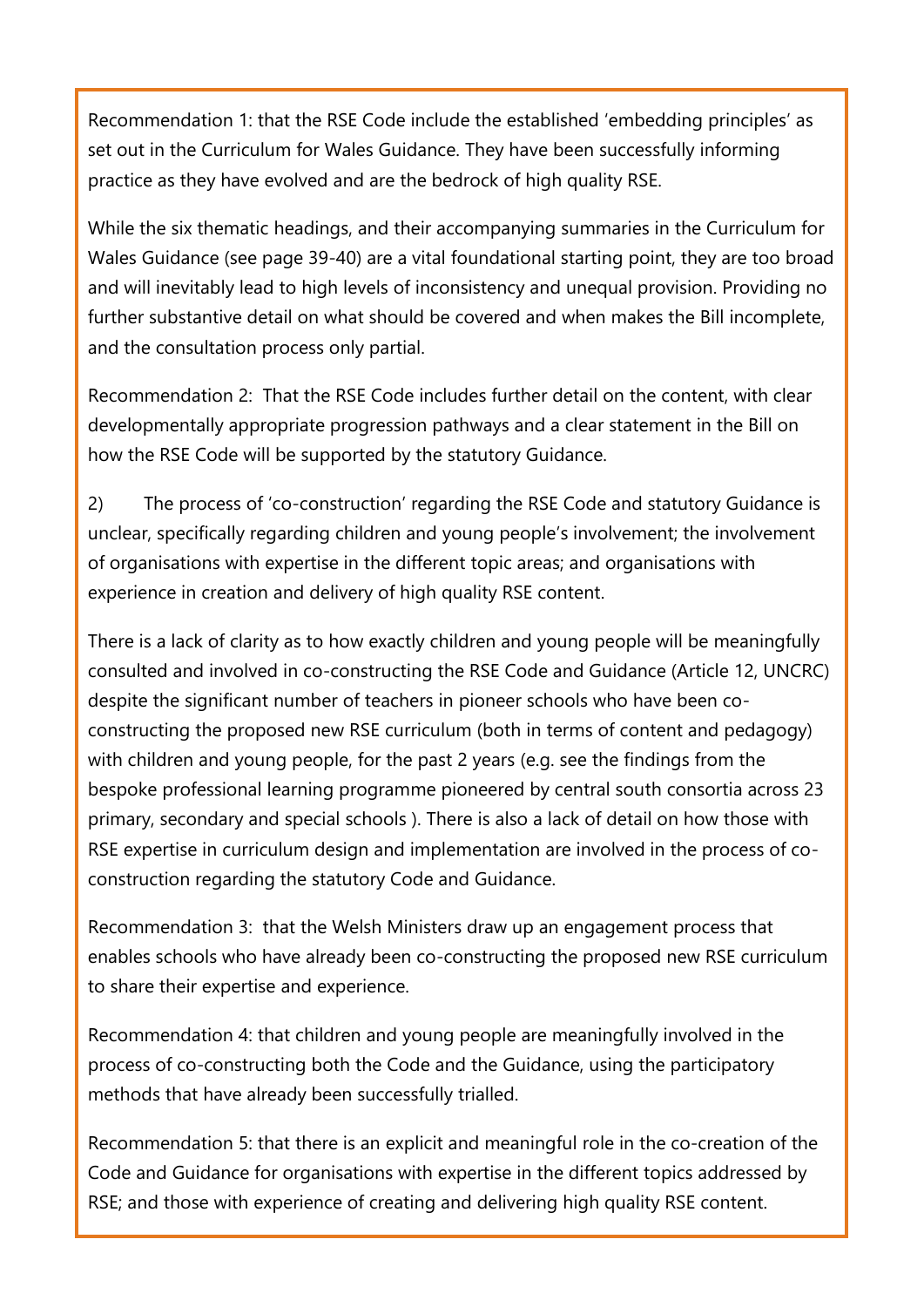Recommendation 1: that the RSE Code include the established 'embedding principles' as set out in the Curriculum for Wales Guidance. They have been successfully informing practice as they have evolved and are the bedrock of high quality RSE.

While the six thematic headings, and their accompanying summaries in the Curriculum for Wales Guidance (see page 39-40) are a vital foundational starting point, they are too broad and will inevitably lead to high levels of inconsistency and unequal provision. Providing no further substantive detail on what should be covered and when makes the Bill incomplete, and the consultation process only partial.

Recommendation 2: That the RSE Code includes further detail on the content, with clear developmentally appropriate progression pathways and a clear statement in the Bill on how the RSE Code will be supported by the statutory Guidance.

2) The process of 'co-construction' regarding the RSE Code and statutory Guidance is unclear, specifically regarding children and young people's involvement; the involvement of organisations with expertise in the different topic areas; and organisations with experience in creation and delivery of high quality RSE content.

There is a lack of clarity as to how exactly children and young people will be meaningfully consulted and involved in co-constructing the RSE Code and Guidance (Article 12, UNCRC) despite the significant number of teachers in pioneer schools who have been coconstructing the proposed new RSE curriculum (both in terms of content and pedagogy) with children and young people, for the past 2 years (e.g. see the findings from the bespoke professional learning programme pioneered by central south consortia across 23 primary, secondary and special schools ). There is also a lack of detail on how those with RSE expertise in curriculum design and implementation are involved in the process of coconstruction regarding the statutory Code and Guidance.

Recommendation 3: that the Welsh Ministers draw up an engagement process that enables schools who have already been co-constructing the proposed new RSE curriculum to share their expertise and experience.

Recommendation 4: that children and young people are meaningfully involved in the process of co-constructing both the Code and the Guidance, using the participatory methods that have already been successfully trialled.

Recommendation 5: that there is an explicit and meaningful role in the co-creation of the Code and Guidance for organisations with expertise in the different topics addressed by RSE; and those with experience of creating and delivering high quality RSE content.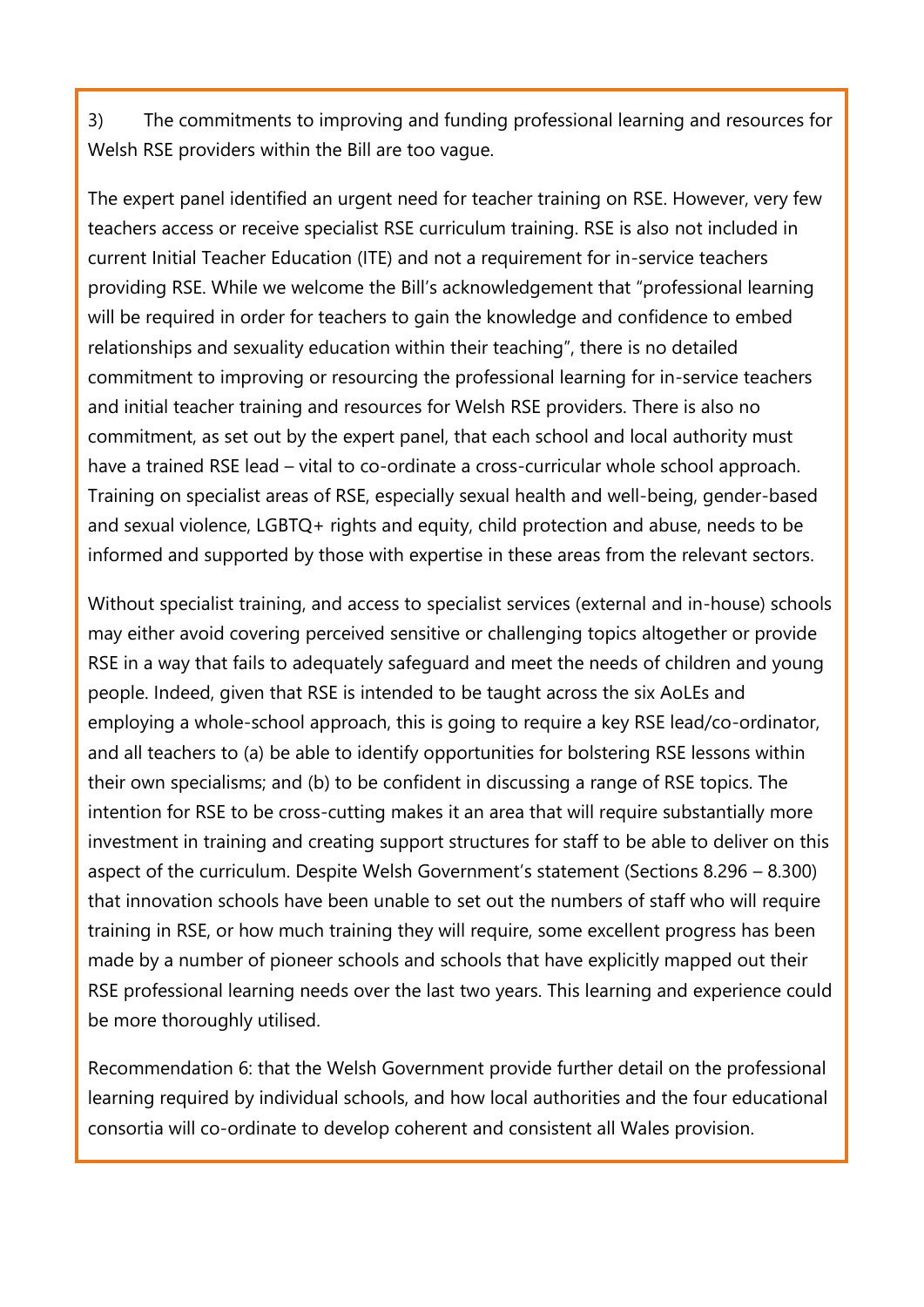3) The commitments to improving and funding professional learning and resources for Welsh RSE providers within the Bill are too vague.

The expert panel identified an urgent need for teacher training on RSE. However, very few teachers access or receive specialist RSE curriculum training. RSE is also not included in current Initial Teacher Education (ITE) and not a requirement for in-service teachers providing RSE. While we welcome the Bill's acknowledgement that "professional learning will be required in order for teachers to gain the knowledge and confidence to embed relationships and sexuality education within their teaching", there is no detailed commitment to improving or resourcing the professional learning for in-service teachers and initial teacher training and resources for Welsh RSE providers. There is also no commitment, as set out by the expert panel, that each school and local authority must have a trained RSE lead – vital to co-ordinate a cross-curricular whole school approach. Training on specialist areas of RSE, especially sexual health and well-being, gender-based and sexual violence, LGBTQ+ rights and equity, child protection and abuse, needs to be informed and supported by those with expertise in these areas from the relevant sectors.

Without specialist training, and access to specialist services (external and in-house) schools may either avoid covering perceived sensitive or challenging topics altogether or provide RSE in a way that fails to adequately safeguard and meet the needs of children and young people. Indeed, given that RSE is intended to be taught across the six AoLEs and employing a whole-school approach, this is going to require a key RSE lead/co-ordinator, and all teachers to (a) be able to identify opportunities for bolstering RSE lessons within their own specialisms; and (b) to be confident in discussing a range of RSE topics. The intention for RSE to be cross-cutting makes it an area that will require substantially more investment in training and creating support structures for staff to be able to deliver on this aspect of the curriculum. Despite Welsh Government's statement (Sections 8.296 – 8.300) that innovation schools have been unable to set out the numbers of staff who will require training in RSE, or how much training they will require, some excellent progress has been made by a number of pioneer schools and schools that have explicitly mapped out their RSE professional learning needs over the last two years. This learning and experience could be more thoroughly utilised.

Recommendation 6: that the Welsh Government provide further detail on the professional learning required by individual schools, and how local authorities and the four educational consortia will co-ordinate to develop coherent and consistent all Wales provision.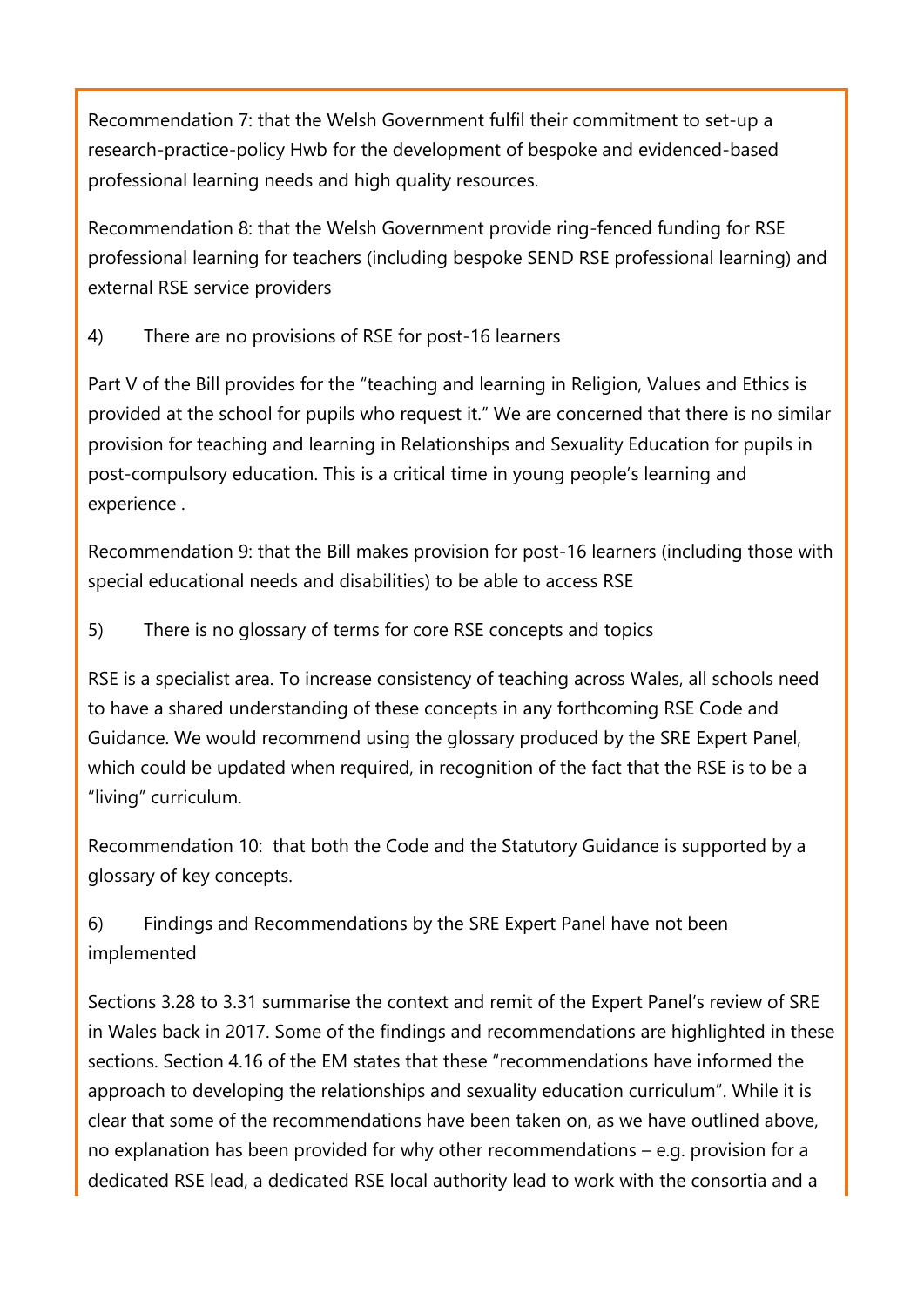Recommendation 7: that the Welsh Government fulfil their commitment to set-up a research-practice-policy Hwb for the development of bespoke and evidenced-based professional learning needs and high quality resources.

Recommendation 8: that the Welsh Government provide ring-fenced funding for RSE professional learning for teachers (including bespoke SEND RSE professional learning) and external RSE service providers

4) There are no provisions of RSE for post-16 learners

Part V of the Bill provides for the "teaching and learning in Religion, Values and Ethics is provided at the school for pupils who request it." We are concerned that there is no similar provision for teaching and learning in Relationships and Sexuality Education for pupils in post-compulsory education. This is a critical time in young people's learning and experience .

Recommendation 9: that the Bill makes provision for post-16 learners (including those with special educational needs and disabilities) to be able to access RSE

5) There is no glossary of terms for core RSE concepts and topics

RSE is a specialist area. To increase consistency of teaching across Wales, all schools need to have a shared understanding of these concepts in any forthcoming RSE Code and Guidance. We would recommend using the glossary produced by the SRE Expert Panel, which could be updated when required, in recognition of the fact that the RSE is to be a "living" curriculum.

Recommendation 10: that both the Code and the Statutory Guidance is supported by a glossary of key concepts.

6) Findings and Recommendations by the SRE Expert Panel have not been implemented

Sections 3.28 to 3.31 summarise the context and remit of the Expert Panel's review of SRE in Wales back in 2017. Some of the findings and recommendations are highlighted in these sections. Section 4.16 of the EM states that these "recommendations have informed the approach to developing the relationships and sexuality education curriculum". While it is clear that some of the recommendations have been taken on, as we have outlined above, no explanation has been provided for why other recommendations – e.g. provision for a dedicated RSE lead, a dedicated RSE local authority lead to work with the consortia and a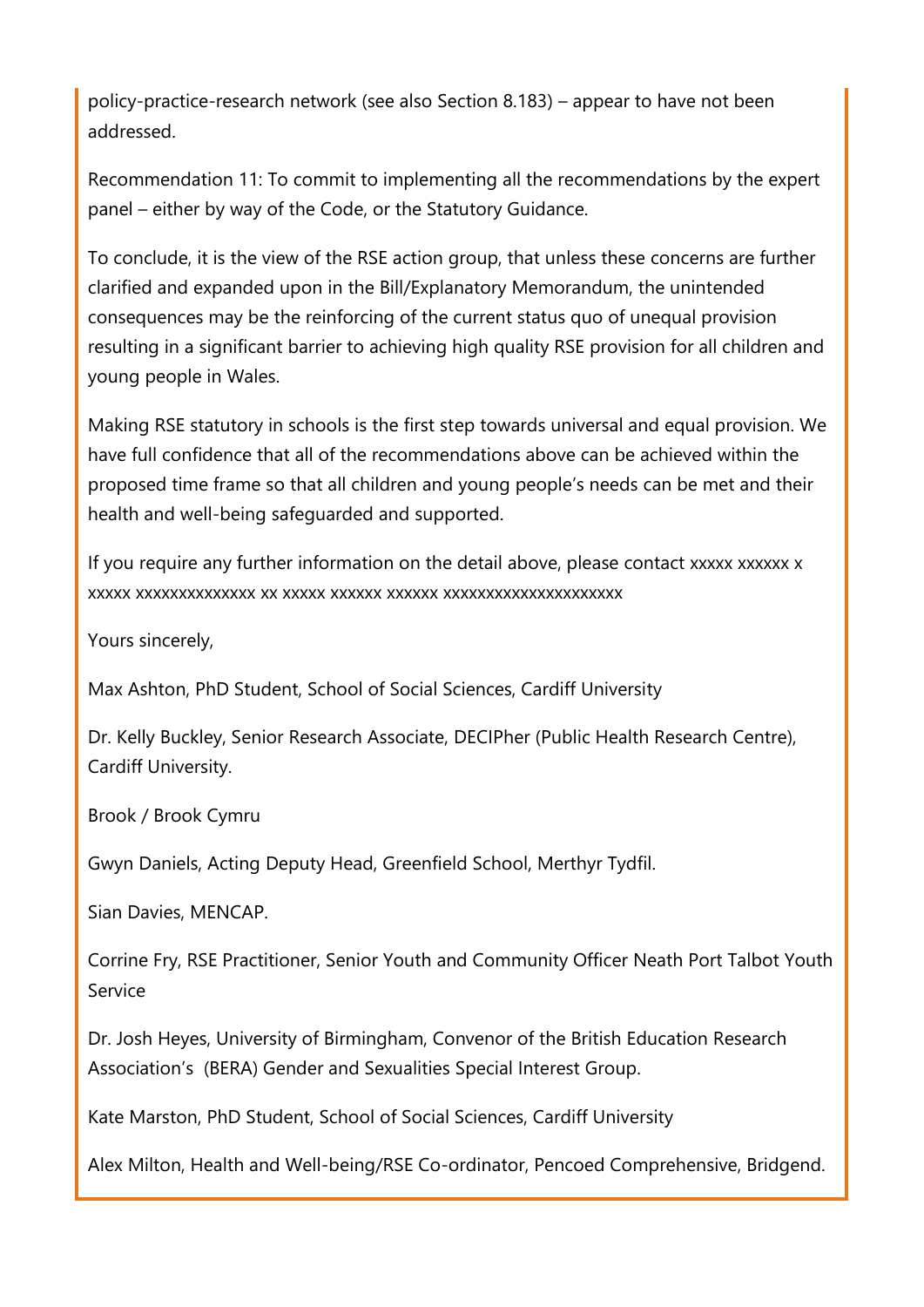policy-practice-research network (see also Section 8.183) – appear to have not been addressed.

Recommendation 11: To commit to implementing all the recommendations by the expert panel – either by way of the Code, or the Statutory Guidance.

To conclude, it is the view of the RSE action group, that unless these concerns are further clarified and expanded upon in the Bill/Explanatory Memorandum, the unintended consequences may be the reinforcing of the current status quo of unequal provision resulting in a significant barrier to achieving high quality RSE provision for all children and young people in Wales.

Making RSE statutory in schools is the first step towards universal and equal provision. We have full confidence that all of the recommendations above can be achieved within the proposed time frame so that all children and young people's needs can be met and their health and well-being safeguarded and supported.

If you require any further information on the detail above, please contact xxxxx xxxxxx x xxxxx xxxxxxxxxxxxxx xx xxxxx xxxxxx xxxxxx xxxxxxxxxxxxxxxxxxxxx

Yours sincerely,

Max Ashton, PhD Student, School of Social Sciences, Cardiff University

Dr. Kelly Buckley, Senior Research Associate, DECIPher (Public Health Research Centre), Cardiff University.

Brook / Brook Cymru

Gwyn Daniels, Acting Deputy Head, Greenfield School, Merthyr Tydfil.

Sian Davies, MENCAP.

Corrine Fry, RSE Practitioner, Senior Youth and Community Officer Neath Port Talbot Youth Service

Dr. Josh Heyes, University of Birmingham, Convenor of the British Education Research Association's (BERA) Gender and Sexualities Special Interest Group.

Kate Marston, PhD Student, School of Social Sciences, Cardiff University

Alex Milton, Health and Well-being/RSE Co-ordinator, Pencoed Comprehensive, Bridgend.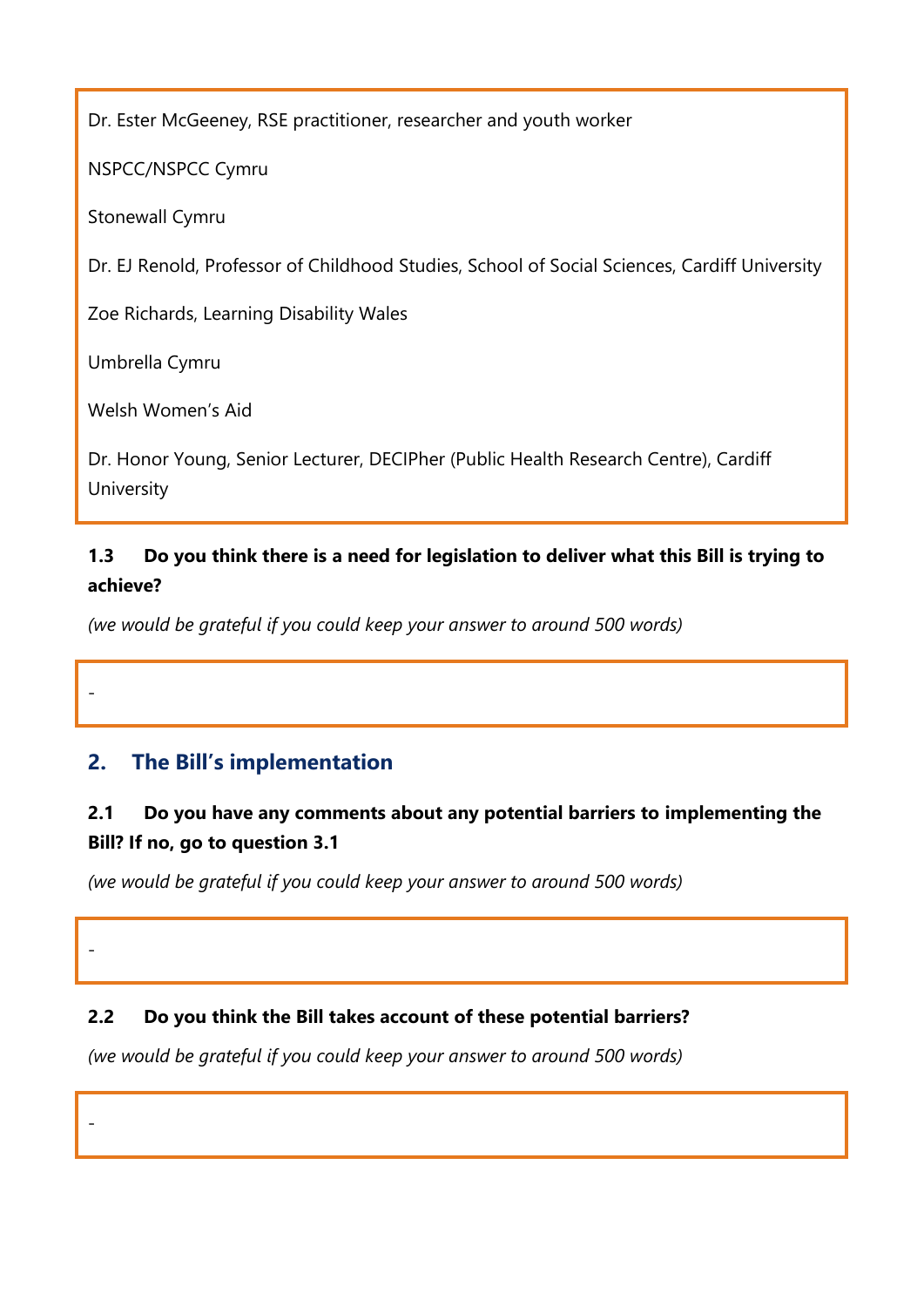Dr. Ester McGeeney, RSE practitioner, researcher and youth worker

NSPCC/NSPCC Cymru

Stonewall Cymru

Dr. EJ Renold, Professor of Childhood Studies, School of Social Sciences, Cardiff University

Zoe Richards, Learning Disability Wales

Umbrella Cymru

-

-

-

Welsh Women's Aid

Dr. Honor Young, Senior Lecturer, DECIPher (Public Health Research Centre), Cardiff **University** 

# **1.3 Do you think there is a need for legislation to deliver what this Bill is trying to achieve?**

*(we would be grateful if you could keep your answer to around 500 words)*

# **2. The Bill's implementation**

# **2.1 Do you have any comments about any potential barriers to implementing the Bill? If no, go to question 3.1**

*(we would be grateful if you could keep your answer to around 500 words)*

## **2.2 Do you think the Bill takes account of these potential barriers?**

*(we would be grateful if you could keep your answer to around 500 words)*